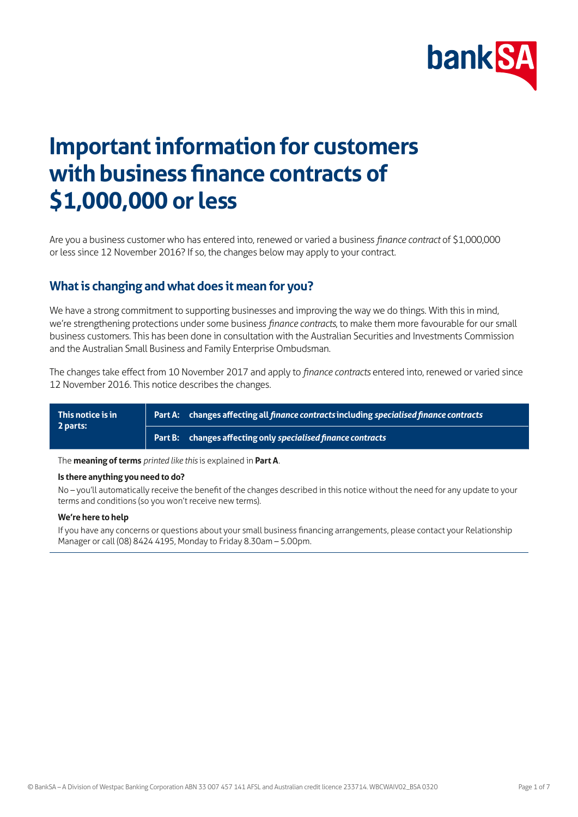

# **Important information for customers with business finance contracts of \$1,000,000 or less**

Are you a business customer who has entered into, renewed or varied a business *finance contract* of \$1,000,000 or less since 12 November 2016? If so, the changes below may apply to your contract.

### **What is changing and what does it mean for you?**

We have a strong commitment to supporting businesses and improving the way we do things. With this in mind, we're strengthening protections under some business *finance contracts*, to make them more favourable for our small business customers. This has been done in consultation with the Australian Securities and Investments Commission and the Australian Small Business and Family Enterprise Ombudsman.

The changes take effect from 10 November 2017 and apply to *finance contracts* entered into, renewed or varied since 12 November 2016. This notice describes the changes.

| This notice is in<br>2 parts: | Part A: changes affecting all finance contracts including specialised finance contracts |
|-------------------------------|-----------------------------------------------------------------------------------------|
|                               | Part B: changes affecting only specialised finance contracts                            |

The **meaning of terms** *printed like this* is explained in **Part A**.

### **Is there anything you need to do?**

No – you'll automatically receive the benefit of the changes described in this notice without the need for any update to your terms and conditions (so you won't receive new terms).

#### **We're here to help**

If you have any concerns or questions about your small business financing arrangements, please contact your Relationship Manager or call (08) 8424 4195, Monday to Friday 8.30am – 5.00pm.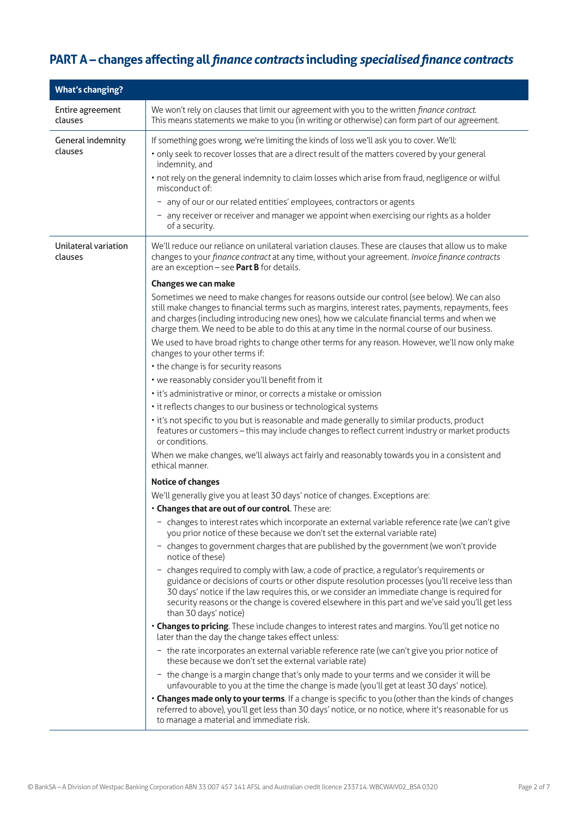# **PART A – changes affecting all** *finance contracts* **including** *specialised finance contracts*

| <b>What's changing?</b>             |                                                                                                                                                                                                                                                                                                                                                                                                                                                                                                                                                                                                                                                                                                                                                                                                                                                                                                                                                                                                                                                                                                                                                                                                                                                                                                                                                                                                                                                                                                                                                                                                                                                                                                                                                                                                                                                                                                                                                                                                                                                                                                                                                                                                                                                                                                                                                                                                                                                                                                                                                                                                                                                                                                                                                                                                                                                                                                               |
|-------------------------------------|---------------------------------------------------------------------------------------------------------------------------------------------------------------------------------------------------------------------------------------------------------------------------------------------------------------------------------------------------------------------------------------------------------------------------------------------------------------------------------------------------------------------------------------------------------------------------------------------------------------------------------------------------------------------------------------------------------------------------------------------------------------------------------------------------------------------------------------------------------------------------------------------------------------------------------------------------------------------------------------------------------------------------------------------------------------------------------------------------------------------------------------------------------------------------------------------------------------------------------------------------------------------------------------------------------------------------------------------------------------------------------------------------------------------------------------------------------------------------------------------------------------------------------------------------------------------------------------------------------------------------------------------------------------------------------------------------------------------------------------------------------------------------------------------------------------------------------------------------------------------------------------------------------------------------------------------------------------------------------------------------------------------------------------------------------------------------------------------------------------------------------------------------------------------------------------------------------------------------------------------------------------------------------------------------------------------------------------------------------------------------------------------------------------------------------------------------------------------------------------------------------------------------------------------------------------------------------------------------------------------------------------------------------------------------------------------------------------------------------------------------------------------------------------------------------------------------------------------------------------------------------------------------------------|
| Entire agreement<br>clauses         | We won't rely on clauses that limit our agreement with you to the written finance contract.<br>This means statements we make to you (in writing or otherwise) can form part of our agreement.                                                                                                                                                                                                                                                                                                                                                                                                                                                                                                                                                                                                                                                                                                                                                                                                                                                                                                                                                                                                                                                                                                                                                                                                                                                                                                                                                                                                                                                                                                                                                                                                                                                                                                                                                                                                                                                                                                                                                                                                                                                                                                                                                                                                                                                                                                                                                                                                                                                                                                                                                                                                                                                                                                                 |
| <b>General indemnity</b><br>clauses | If something goes wrong, we're limiting the kinds of loss we'll ask you to cover. We'll:<br>· only seek to recover losses that are a direct result of the matters covered by your general<br>indemnity, and<br>• not rely on the general indemnity to claim losses which arise from fraud, negligence or wilful<br>misconduct of:<br>- any of our or our related entities' employees, contractors or agents<br>- any receiver or receiver and manager we appoint when exercising our rights as a holder<br>of a security.                                                                                                                                                                                                                                                                                                                                                                                                                                                                                                                                                                                                                                                                                                                                                                                                                                                                                                                                                                                                                                                                                                                                                                                                                                                                                                                                                                                                                                                                                                                                                                                                                                                                                                                                                                                                                                                                                                                                                                                                                                                                                                                                                                                                                                                                                                                                                                                     |
| Unilateral variation<br>clauses     | We'll reduce our reliance on unilateral variation clauses. These are clauses that allow us to make<br>changes to your finance contract at any time, without your agreement. Invoice finance contracts<br>are an exception - see Part B for details.<br>Changes we can make<br>Sometimes we need to make changes for reasons outside our control (see below). We can also<br>still make changes to financial terms such as margins, interest rates, payments, repayments, fees<br>and charges (including introducing new ones), how we calculate financial terms and when we<br>charge them. We need to be able to do this at any time in the normal course of our business.<br>We used to have broad rights to change other terms for any reason. However, we'll now only make<br>changes to your other terms if:<br>• the change is for security reasons<br>• we reasonably consider you'll benefit from it<br>• it's administrative or minor, or corrects a mistake or omission<br>• it reflects changes to our business or technological systems<br>• it's not specific to you but is reasonable and made generally to similar products, product<br>features or customers - this may include changes to reflect current industry or market products<br>or conditions.<br>When we make changes, we'll always act fairly and reasonably towards you in a consistent and<br>ethical manner.<br><b>Notice of changes</b><br>We'll generally give you at least 30 days' notice of changes. Exceptions are:<br>. Changes that are out of our control. These are:<br>- changes to interest rates which incorporate an external variable reference rate (we can't give<br>you prior notice of these because we don't set the external variable rate)<br>- changes to government charges that are published by the government (we won't provide<br>notice of these)<br>- changes required to comply with law, a code of practice, a regulator's requirements or<br>guidance or decisions of courts or other dispute resolution processes (you'll receive less than<br>30 days' notice if the law requires this, or we consider an immediate change is required for<br>security reasons or the change is covered elsewhere in this part and we've said you'll get less<br>than 30 days' notice)<br>• Changes to pricing. These include changes to interest rates and margins. You'll get notice no<br>later than the day the change takes effect unless:<br>- the rate incorporates an external variable reference rate (we can't give you prior notice of<br>these because we don't set the external variable rate)<br>- the change is a margin change that's only made to your terms and we consider it will be<br>unfavourable to you at the time the change is made (you'll get at least 30 days' notice).<br>. Changes made only to your terms. If a change is specific to you (other than the kinds of changes |
|                                     | referred to above), you'll get less than 30 days' notice, or no notice, where it's reasonable for us<br>to manage a material and immediate risk.                                                                                                                                                                                                                                                                                                                                                                                                                                                                                                                                                                                                                                                                                                                                                                                                                                                                                                                                                                                                                                                                                                                                                                                                                                                                                                                                                                                                                                                                                                                                                                                                                                                                                                                                                                                                                                                                                                                                                                                                                                                                                                                                                                                                                                                                                                                                                                                                                                                                                                                                                                                                                                                                                                                                                              |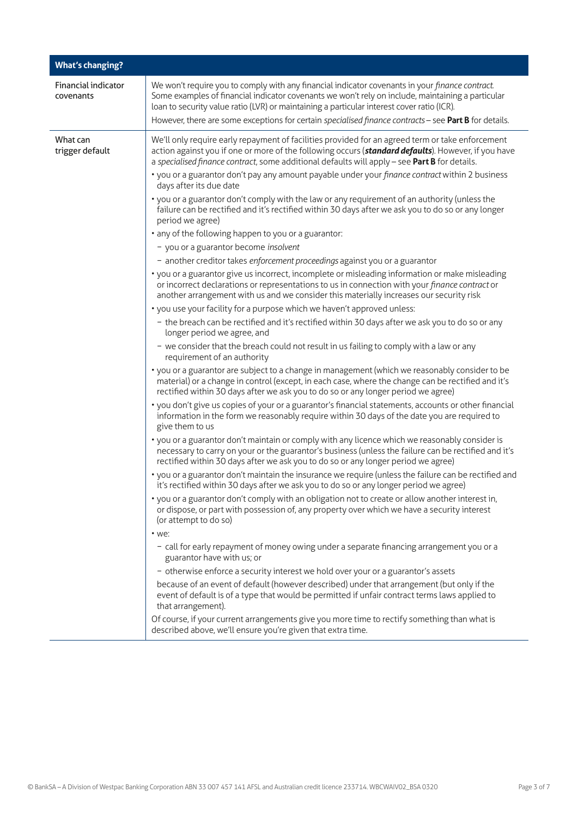| <b>What's changing?</b>                 |                                                                                                                                                                                                                                                                                                                                                                                                                                                                                                                                                                                                                                                                                                                                                                                                                                                                                                                                                                                                                                                                                                                                                                                                                                                                                                                                                                                                                                                                                                                                                                                                                                                                                                                                                                                                                                                                                                                                                                                                                                                                                                                                                                                                                                                                                                                                                                                                                                                                                                                                                                                                                                                                                                                                                                                                                                                                                                                                                                                                                                                                                                                                                                                                                                                                                                                                                                       |
|-----------------------------------------|-----------------------------------------------------------------------------------------------------------------------------------------------------------------------------------------------------------------------------------------------------------------------------------------------------------------------------------------------------------------------------------------------------------------------------------------------------------------------------------------------------------------------------------------------------------------------------------------------------------------------------------------------------------------------------------------------------------------------------------------------------------------------------------------------------------------------------------------------------------------------------------------------------------------------------------------------------------------------------------------------------------------------------------------------------------------------------------------------------------------------------------------------------------------------------------------------------------------------------------------------------------------------------------------------------------------------------------------------------------------------------------------------------------------------------------------------------------------------------------------------------------------------------------------------------------------------------------------------------------------------------------------------------------------------------------------------------------------------------------------------------------------------------------------------------------------------------------------------------------------------------------------------------------------------------------------------------------------------------------------------------------------------------------------------------------------------------------------------------------------------------------------------------------------------------------------------------------------------------------------------------------------------------------------------------------------------------------------------------------------------------------------------------------------------------------------------------------------------------------------------------------------------------------------------------------------------------------------------------------------------------------------------------------------------------------------------------------------------------------------------------------------------------------------------------------------------------------------------------------------------------------------------------------------------------------------------------------------------------------------------------------------------------------------------------------------------------------------------------------------------------------------------------------------------------------------------------------------------------------------------------------------------------------------------------------------------------------------------------------------------|
| <b>Financial indicator</b><br>covenants | We won't require you to comply with any financial indicator covenants in your finance contract.<br>Some examples of financial indicator covenants we won't rely on include, maintaining a particular<br>loan to security value ratio (LVR) or maintaining a particular interest cover ratio (ICR).<br>However, there are some exceptions for certain specialised finance contracts - see Part B for details.                                                                                                                                                                                                                                                                                                                                                                                                                                                                                                                                                                                                                                                                                                                                                                                                                                                                                                                                                                                                                                                                                                                                                                                                                                                                                                                                                                                                                                                                                                                                                                                                                                                                                                                                                                                                                                                                                                                                                                                                                                                                                                                                                                                                                                                                                                                                                                                                                                                                                                                                                                                                                                                                                                                                                                                                                                                                                                                                                          |
| What can<br>trigger default             | We'll only require early repayment of facilities provided for an agreed term or take enforcement<br>action against you if one or more of the following occurs (standard defaults). However, if you have<br>a specialised finance contract, some additional defaults will apply - see Part B for details.<br>• you or a guarantor don't pay any amount payable under your finance contract within 2 business<br>days after its due date<br>• you or a guarantor don't comply with the law or any requirement of an authority (unless the<br>failure can be rectified and it's rectified within 30 days after we ask you to do so or any longer<br>period we agree)<br>• any of the following happen to you or a guarantor:<br>- you or a guarantor become insolvent<br>- another creditor takes enforcement proceedings against you or a guarantor<br>• you or a guarantor give us incorrect, incomplete or misleading information or make misleading<br>or incorrect declarations or representations to us in connection with your finance contract or<br>another arrangement with us and we consider this materially increases our security risk<br>• you use your facility for a purpose which we haven't approved unless:<br>- the breach can be rectified and it's rectified within 30 days after we ask you to do so or any<br>longer period we agree, and<br>- we consider that the breach could not result in us failing to comply with a law or any<br>requirement of an authority<br>• you or a guarantor are subject to a change in management (which we reasonably consider to be<br>material) or a change in control (except, in each case, where the change can be rectified and it's<br>rectified within 30 days after we ask you to do so or any longer period we agree)<br>• you don't give us copies of your or a guarantor's financial statements, accounts or other financial<br>information in the form we reasonably require within 30 days of the date you are required to<br>give them to us<br>• you or a guarantor don't maintain or comply with any licence which we reasonably consider is<br>necessary to carry on your or the guarantor's business (unless the failure can be rectified and it's<br>rectified within 30 days after we ask you to do so or any longer period we agree)<br>• you or a guarantor don't maintain the insurance we require (unless the failure can be rectified and<br>it's rectified within 30 days after we ask you to do so or any longer period we agree)<br>• you or a guarantor don't comply with an obligation not to create or allow another interest in,<br>or dispose, or part with possession of, any property over which we have a security interest<br>(or attempt to do so)<br>$\cdot$ we:<br>- call for early repayment of money owing under a separate financing arrangement you or a<br>guarantor have with us; or<br>- otherwise enforce a security interest we hold over your or a guarantor's assets<br>because of an event of default (however described) under that arrangement (but only if the<br>event of default is of a type that would be permitted if unfair contract terms laws applied to<br>that arrangement).<br>Of course, if your current arrangements give you more time to rectify something than what is<br>described above, we'll ensure you're given that extra time. |
|                                         |                                                                                                                                                                                                                                                                                                                                                                                                                                                                                                                                                                                                                                                                                                                                                                                                                                                                                                                                                                                                                                                                                                                                                                                                                                                                                                                                                                                                                                                                                                                                                                                                                                                                                                                                                                                                                                                                                                                                                                                                                                                                                                                                                                                                                                                                                                                                                                                                                                                                                                                                                                                                                                                                                                                                                                                                                                                                                                                                                                                                                                                                                                                                                                                                                                                                                                                                                                       |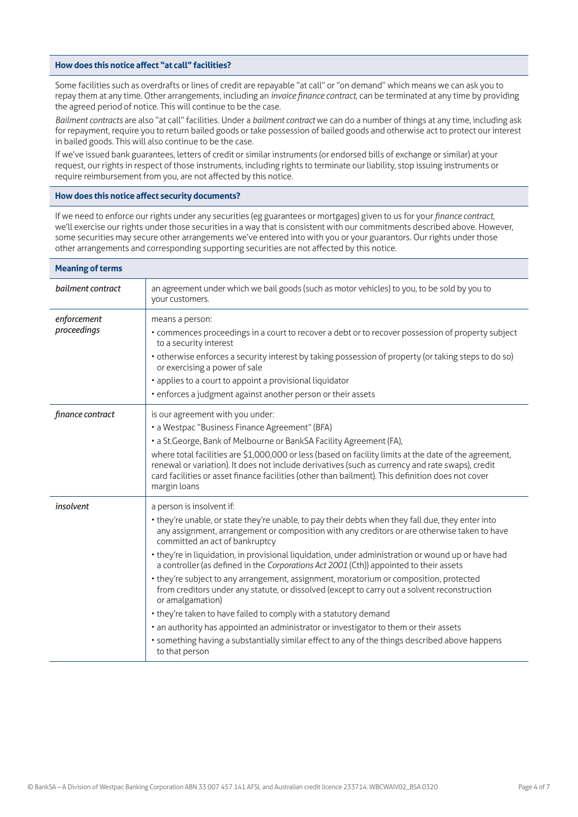#### **How does this notice affect "at call" facilities?**

Some facilities such as overdrafts or lines of credit are repayable "at call" or "on demand" which means we can ask you to repay them at any time. Other arrangements, including an *invoice finance contract*, can be terminated at any time by providing the agreed period of notice. This will continue to be the case.

*Bailment contracts* are also "at call" facilities. Under a *bailment contract* we can do a number of things at any time, including ask for repayment, require you to return bailed goods or take possession of bailed goods and otherwise act to protect our interest in bailed goods. This will also continue to be the case.

If we've issued bank guarantees, letters of credit or similar instruments (or endorsed bills of exchange or similar) at your request, our rights in respect of those instruments, including rights to terminate our liability, stop issuing instruments or require reimbursement from you, are not affected by this notice.

### **How does this notice affect security documents?**

If we need to enforce our rights under any securities (eg guarantees or mortgages) given to us for your *finance contract*, we'll exercise our rights under those securities in a way that is consistent with our commitments described above. However, some securities may secure other arrangements we've entered into with you or your guarantors. Our rights under those other arrangements and corresponding supporting securities are not affected by this notice.

| <b>Meaning of terms</b>    |                                                                                                                                                                                                                                                                                                                                                                                                                                                                                                                                                                                                                                                                                                                                                                                                                                                                                                                                                                 |
|----------------------------|-----------------------------------------------------------------------------------------------------------------------------------------------------------------------------------------------------------------------------------------------------------------------------------------------------------------------------------------------------------------------------------------------------------------------------------------------------------------------------------------------------------------------------------------------------------------------------------------------------------------------------------------------------------------------------------------------------------------------------------------------------------------------------------------------------------------------------------------------------------------------------------------------------------------------------------------------------------------|
| bailment contract          | an agreement under which we bail goods (such as motor vehicles) to you, to be sold by you to<br>your customers.                                                                                                                                                                                                                                                                                                                                                                                                                                                                                                                                                                                                                                                                                                                                                                                                                                                 |
| enforcement<br>proceedings | means a person:<br>• commences proceedings in a court to recover a debt or to recover possession of property subject<br>to a security interest<br>• otherwise enforces a security interest by taking possession of property (or taking steps to do so)<br>or exercising a power of sale<br>• applies to a court to appoint a provisional liquidator<br>• enforces a judgment against another person or their assets                                                                                                                                                                                                                                                                                                                                                                                                                                                                                                                                             |
| finance contract           | is our agreement with you under:<br>• a Westpac "Business Finance Agreement" (BFA)<br>• a St.George, Bank of Melbourne or BankSA Facility Agreement (FA),<br>where total facilities are \$1,000,000 or less (based on facility limits at the date of the agreement,<br>renewal or variation). It does not include derivatives (such as currency and rate swaps), credit<br>card facilities or asset finance facilities (other than bailment). This definition does not cover<br>margin loans                                                                                                                                                                                                                                                                                                                                                                                                                                                                    |
| insolvent                  | a person is insolvent if:<br>• they're unable, or state they're unable, to pay their debts when they fall due, they enter into<br>any assignment, arrangement or composition with any creditors or are otherwise taken to have<br>committed an act of bankruptcy<br>• they're in liquidation, in provisional liquidation, under administration or wound up or have had<br>a controller (as defined in the Corporations Act 2001 (Cth)) appointed to their assets<br>• they're subject to any arrangement, assignment, moratorium or composition, protected<br>from creditors under any statute, or dissolved (except to carry out a solvent reconstruction<br>or amalgamation)<br>• they're taken to have failed to comply with a statutory demand<br>• an authority has appointed an administrator or investigator to them or their assets<br>· something having a substantially similar effect to any of the things described above happens<br>to that person |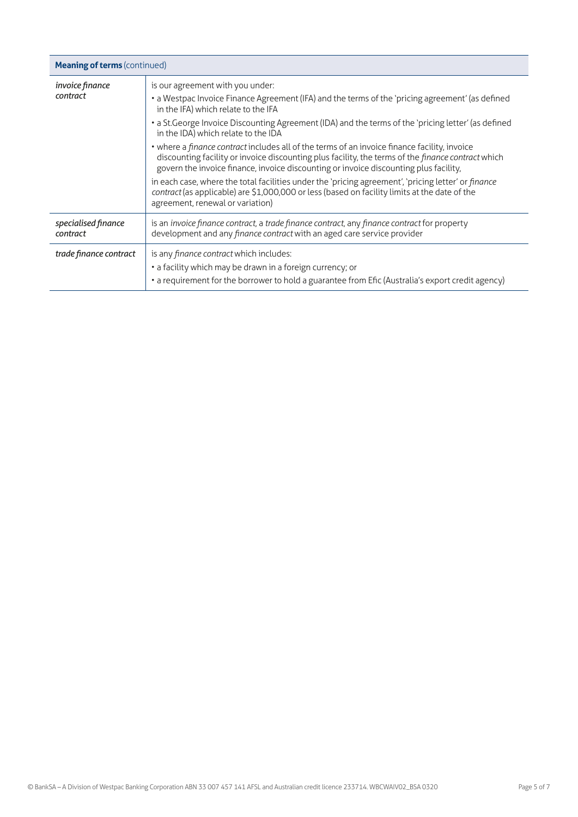| <b>Meaning of terms (continued)</b> |                                                                                                                                                                                                                                                                                             |
|-------------------------------------|---------------------------------------------------------------------------------------------------------------------------------------------------------------------------------------------------------------------------------------------------------------------------------------------|
| invoice finance<br>contract         | is our agreement with you under:<br>• a Westpac Invoice Finance Agreement (IFA) and the terms of the 'pricing agreement' (as defined<br>in the IFA) which relate to the IFA                                                                                                                 |
|                                     | • a St. George Invoice Discounting Agreement (IDA) and the terms of the 'pricing letter' (as defined<br>in the IDA) which relate to the IDA                                                                                                                                                 |
|                                     | • where a finance contract includes all of the terms of an invoice finance facility, invoice<br>discounting facility or invoice discounting plus facility, the terms of the finance contract which<br>govern the invoice finance, invoice discounting or invoice discounting plus facility, |
|                                     | in each case, where the total facilities under the 'pricing agreement', 'pricing letter' or finance<br>contract (as applicable) are \$1,000,000 or less (based on facility limits at the date of the<br>agreement, renewal or variation)                                                    |
| specialised finance<br>contract     | is an <i>invoice finance contract</i> , a <i>trade finance contract</i> , any <i>finance contract</i> for property<br>development and any finance contract with an aged care service provider                                                                                               |
| trade finance contract              | is any <i>finance contract</i> which includes:<br>• a facility which may be drawn in a foreign currency; or<br>• a requirement for the borrower to hold a guarantee from Efic (Australia's export credit agency)                                                                            |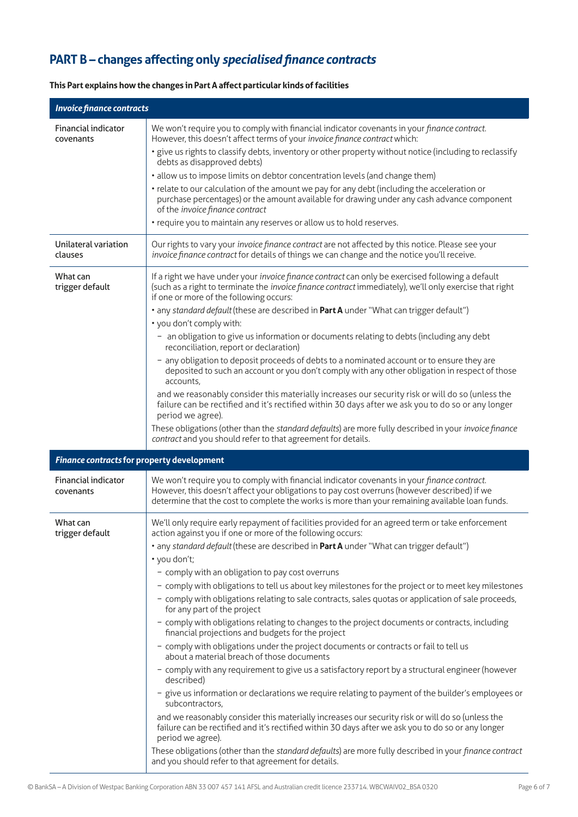## **PART B – changes affecting only** *specialised finance contracts*

| <b>Invoice finance contracts</b>           |                                                                                                                                                                                                                                                                                                |
|--------------------------------------------|------------------------------------------------------------------------------------------------------------------------------------------------------------------------------------------------------------------------------------------------------------------------------------------------|
| Financial indicator<br>covenants           | We won't require you to comply with financial indicator covenants in your finance contract.<br>However, this doesn't affect terms of your invoice finance contract which:                                                                                                                      |
|                                            | · give us rights to classify debts, inventory or other property without notice (including to reclassify<br>debts as disapproved debts)                                                                                                                                                         |
|                                            | • allow us to impose limits on debtor concentration levels (and change them)                                                                                                                                                                                                                   |
|                                            | • relate to our calculation of the amount we pay for any debt (including the acceleration or<br>purchase percentages) or the amount available for drawing under any cash advance component<br>of the invoice finance contract                                                                  |
|                                            | • require you to maintain any reserves or allow us to hold reserves.                                                                                                                                                                                                                           |
| Unilateral variation<br>clauses            | Our rights to vary your invoice finance contract are not affected by this notice. Please see your<br>invoice finance contract for details of things we can change and the notice you'll receive.                                                                                               |
| What can<br>trigger default                | If a right we have under your invoice finance contract can only be exercised following a default<br>(such as a right to terminate the invoice finance contract immediately), we'll only exercise that right<br>if one or more of the following occurs:                                         |
|                                            | • any standard default (these are described in Part A under "What can trigger default")<br>• you don't comply with:                                                                                                                                                                            |
|                                            | - an obligation to give us information or documents relating to debts (including any debt<br>reconciliation, report or declaration)                                                                                                                                                            |
|                                            | - any obligation to deposit proceeds of debts to a nominated account or to ensure they are<br>deposited to such an account or you don't comply with any other obligation in respect of those<br>accounts,                                                                                      |
|                                            | and we reasonably consider this materially increases our security risk or will do so (unless the<br>failure can be rectified and it's rectified within 30 days after we ask you to do so or any longer<br>period we agree).                                                                    |
|                                            | These obligations (other than the standard defaults) are more fully described in your invoice finance<br>contract and you should refer to that agreement for details.                                                                                                                          |
| Finance contracts for property development |                                                                                                                                                                                                                                                                                                |
| Financial indicator<br>covenants           | We won't require you to comply with financial indicator covenants in your finance contract.<br>However, this doesn't affect your obligations to pay cost overruns (however described) if we<br>determine that the cost to complete the works is more than your remaining available loan funds. |
| What can<br>trigger default                | We'll only require early repayment of facilities provided for an agreed term or take enforcement<br>action against you if one or more of the following occurs:                                                                                                                                 |
|                                            | • any standard default (these are described in Part A under "What can trigger default")                                                                                                                                                                                                        |
|                                            | • you don't;<br>- comply with an obligation to pay cost overruns                                                                                                                                                                                                                               |
|                                            | - comply with obligations to tell us about key milestones for the project or to meet key milestones                                                                                                                                                                                            |
|                                            | - comply with obligations relating to sale contracts, sales quotas or application of sale proceeds,<br>for any part of the project                                                                                                                                                             |
|                                            | - comply with obligations relating to changes to the project documents or contracts, including<br>financial projections and budgets for the project                                                                                                                                            |
|                                            | - comply with obligations under the project documents or contracts or fail to tell us<br>about a material breach of those documents                                                                                                                                                            |
|                                            | - comply with any requirement to give us a satisfactory report by a structural engineer (however<br>described)                                                                                                                                                                                 |
|                                            | - give us information or declarations we require relating to payment of the builder's employees or<br>subcontractors,                                                                                                                                                                          |
|                                            | and we reasonably consider this materially increases our security risk or will do so (unless the<br>failure can be rectified and it's rectified within 30 days after we ask you to do so or any longer<br>period we agree).                                                                    |
|                                            | These obligations (other than the standard defaults) are more fully described in your finance contract<br>and you should refer to that agreement for details.                                                                                                                                  |

### **This Part explains how the changes in Part A affect particular kinds of facilities**